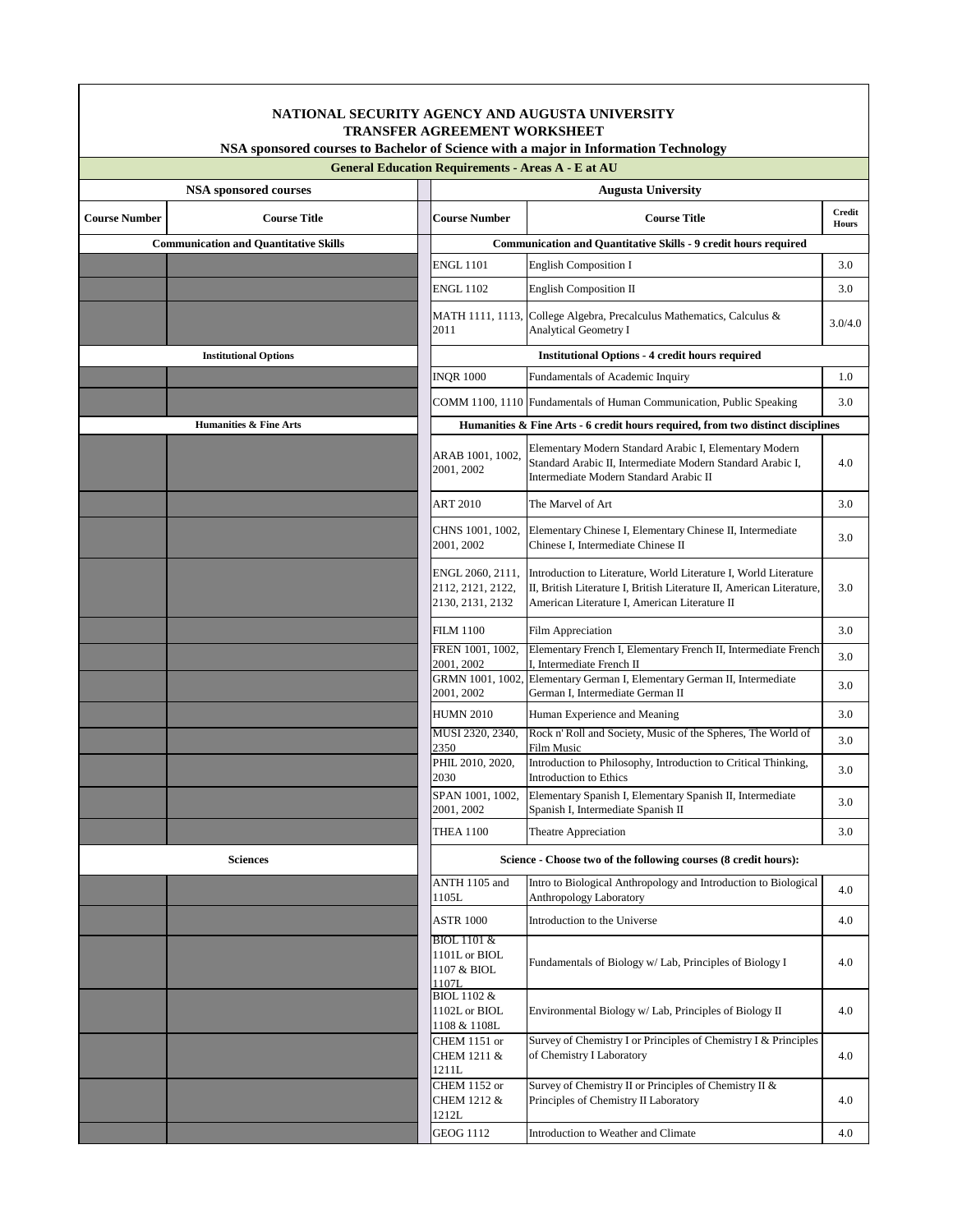| NATIONAL SECURITY AGENCY AND AUGUSTA UNIVERSITY<br><b>TRANSFER AGREEMENT WORKSHEET</b>                                                           |                                   |                                                                                 |                                                                                                                                                                                            |                               |  |  |  |  |  |
|--------------------------------------------------------------------------------------------------------------------------------------------------|-----------------------------------|---------------------------------------------------------------------------------|--------------------------------------------------------------------------------------------------------------------------------------------------------------------------------------------|-------------------------------|--|--|--|--|--|
| NSA sponsored courses to Bachelor of Science with a major in Information Technology<br><b>General Education Requirements - Areas A - E at AU</b> |                                   |                                                                                 |                                                                                                                                                                                            |                               |  |  |  |  |  |
|                                                                                                                                                  | <b>NSA sponsored courses</b>      | <b>Augusta University</b>                                                       |                                                                                                                                                                                            |                               |  |  |  |  |  |
| <b>Course Number</b>                                                                                                                             | <b>Course Title</b>               | <b>Course Number</b>                                                            | <b>Course Title</b>                                                                                                                                                                        | <b>Credit</b><br><b>Hours</b> |  |  |  |  |  |
| <b>Communication and Quantitative Skills</b>                                                                                                     |                                   |                                                                                 | <b>Communication and Quantitative Skills - 9 credit hours required</b>                                                                                                                     |                               |  |  |  |  |  |
|                                                                                                                                                  |                                   | <b>ENGL 1101</b>                                                                | <b>English Composition I</b>                                                                                                                                                               | 3.0                           |  |  |  |  |  |
|                                                                                                                                                  |                                   | <b>ENGL 1102</b>                                                                | <b>English Composition II</b>                                                                                                                                                              | 3.0                           |  |  |  |  |  |
|                                                                                                                                                  |                                   | 2011                                                                            | MATH 1111, 1113, College Algebra, Precalculus Mathematics, Calculus &<br><b>Analytical Geometry I</b>                                                                                      | 3.0/4.0                       |  |  |  |  |  |
|                                                                                                                                                  | <b>Institutional Options</b>      |                                                                                 | <b>Institutional Options - 4 credit hours required</b>                                                                                                                                     |                               |  |  |  |  |  |
|                                                                                                                                                  |                                   | <b>INQR 1000</b>                                                                | Fundamentals of Academic Inquiry                                                                                                                                                           | 1.0                           |  |  |  |  |  |
|                                                                                                                                                  |                                   |                                                                                 | COMM 1100, 1110 Fundamentals of Human Communication, Public Speaking                                                                                                                       | 3.0                           |  |  |  |  |  |
|                                                                                                                                                  | <b>Humanities &amp; Fine Arts</b> | Humanities & Fine Arts - 6 credit hours required, from two distinct disciplines |                                                                                                                                                                                            |                               |  |  |  |  |  |
|                                                                                                                                                  |                                   | ARAB 1001, 1002,<br>2001, 2002                                                  | Elementary Modern Standard Arabic I, Elementary Modern<br>Standard Arabic II, Intermediate Modern Standard Arabic I,<br>Intermediate Modern Standard Arabic II                             | 4.0                           |  |  |  |  |  |
|                                                                                                                                                  |                                   | <b>ART 2010</b>                                                                 | The Marvel of Art                                                                                                                                                                          | 3.0                           |  |  |  |  |  |
|                                                                                                                                                  |                                   | CHNS 1001, 1002,<br>2001, 2002                                                  | Elementary Chinese I, Elementary Chinese II, Intermediate<br>Chinese I, Intermediate Chinese II                                                                                            | 3.0                           |  |  |  |  |  |
|                                                                                                                                                  |                                   | ENGL 2060, 2111,<br>2112, 2121, 2122,<br>2130, 2131, 2132                       | Introduction to Literature, World Literature I, World Literature<br>II, British Literature I, British Literature II, American Literature,<br>American Literature I, American Literature II | 3.0                           |  |  |  |  |  |
|                                                                                                                                                  |                                   | <b>FILM 1100</b>                                                                | Film Appreciation                                                                                                                                                                          | 3.0                           |  |  |  |  |  |
|                                                                                                                                                  |                                   | FREN 1001, 1002,<br>2001, 2002                                                  | Elementary French I, Elementary French II, Intermediate French<br>I, Intermediate French II                                                                                                | 3.0                           |  |  |  |  |  |
|                                                                                                                                                  |                                   | 2001, 2002                                                                      | GRMN 1001, 1002, Elementary German I, Elementary German II, Intermediate<br>German I, Intermediate German II                                                                               | 3.0                           |  |  |  |  |  |
|                                                                                                                                                  |                                   | <b>HUMN 2010</b>                                                                | Human Experience and Meaning                                                                                                                                                               | 3.0                           |  |  |  |  |  |
|                                                                                                                                                  |                                   | MUSI 2320, 2340,<br>2350                                                        | Rock n' Roll and Society, Music of the Spheres, The World of<br><b>Film Music</b>                                                                                                          | 3.0                           |  |  |  |  |  |
|                                                                                                                                                  |                                   | PHIL 2010, 2020,<br>2030                                                        | Introduction to Philosophy, Introduction to Critical Thinking,<br>Introduction to Ethics                                                                                                   | 3.0                           |  |  |  |  |  |
|                                                                                                                                                  |                                   | SPAN 1001, 1002,<br>2001, 2002                                                  | Elementary Spanish I, Elementary Spanish II, Intermediate<br>Spanish I, Intermediate Spanish II                                                                                            | 3.0                           |  |  |  |  |  |
|                                                                                                                                                  |                                   | <b>THEA 1100</b>                                                                | Theatre Appreciation                                                                                                                                                                       | 3.0                           |  |  |  |  |  |
|                                                                                                                                                  | <b>Sciences</b>                   |                                                                                 | Science - Choose two of the following courses (8 credit hours):                                                                                                                            |                               |  |  |  |  |  |
|                                                                                                                                                  |                                   | ANTH 1105 and<br>1105L                                                          | Intro to Biological Anthropology and Introduction to Biological<br>Anthropology Laboratory                                                                                                 | 4.0                           |  |  |  |  |  |
|                                                                                                                                                  |                                   | <b>ASTR 1000</b>                                                                | Introduction to the Universe                                                                                                                                                               | 4.0                           |  |  |  |  |  |
|                                                                                                                                                  |                                   | <b>BIOL 1101 &amp;</b><br>1101L or BIOL<br>1107 & BIOL<br>1107L                 | Fundamentals of Biology w/ Lab, Principles of Biology I                                                                                                                                    | 4.0                           |  |  |  |  |  |
|                                                                                                                                                  |                                   | <b>BIOL 1102 &amp;</b><br>1102L or BIOL<br>1108 & 1108L                         | Environmental Biology w/ Lab, Principles of Biology II                                                                                                                                     | 4.0                           |  |  |  |  |  |
|                                                                                                                                                  |                                   | CHEM 1151 or<br>CHEM 1211 &<br>1211L                                            | Survey of Chemistry I or Principles of Chemistry I & Principles<br>of Chemistry I Laboratory                                                                                               | 4.0                           |  |  |  |  |  |
|                                                                                                                                                  |                                   | CHEM 1152 or<br>CHEM 1212 &<br>1212L                                            | Survey of Chemistry II or Principles of Chemistry II &<br>Principles of Chemistry II Laboratory                                                                                            | 4.0                           |  |  |  |  |  |
|                                                                                                                                                  |                                   | <b>GEOG 1112</b>                                                                | Introduction to Weather and Climate                                                                                                                                                        | 4.0                           |  |  |  |  |  |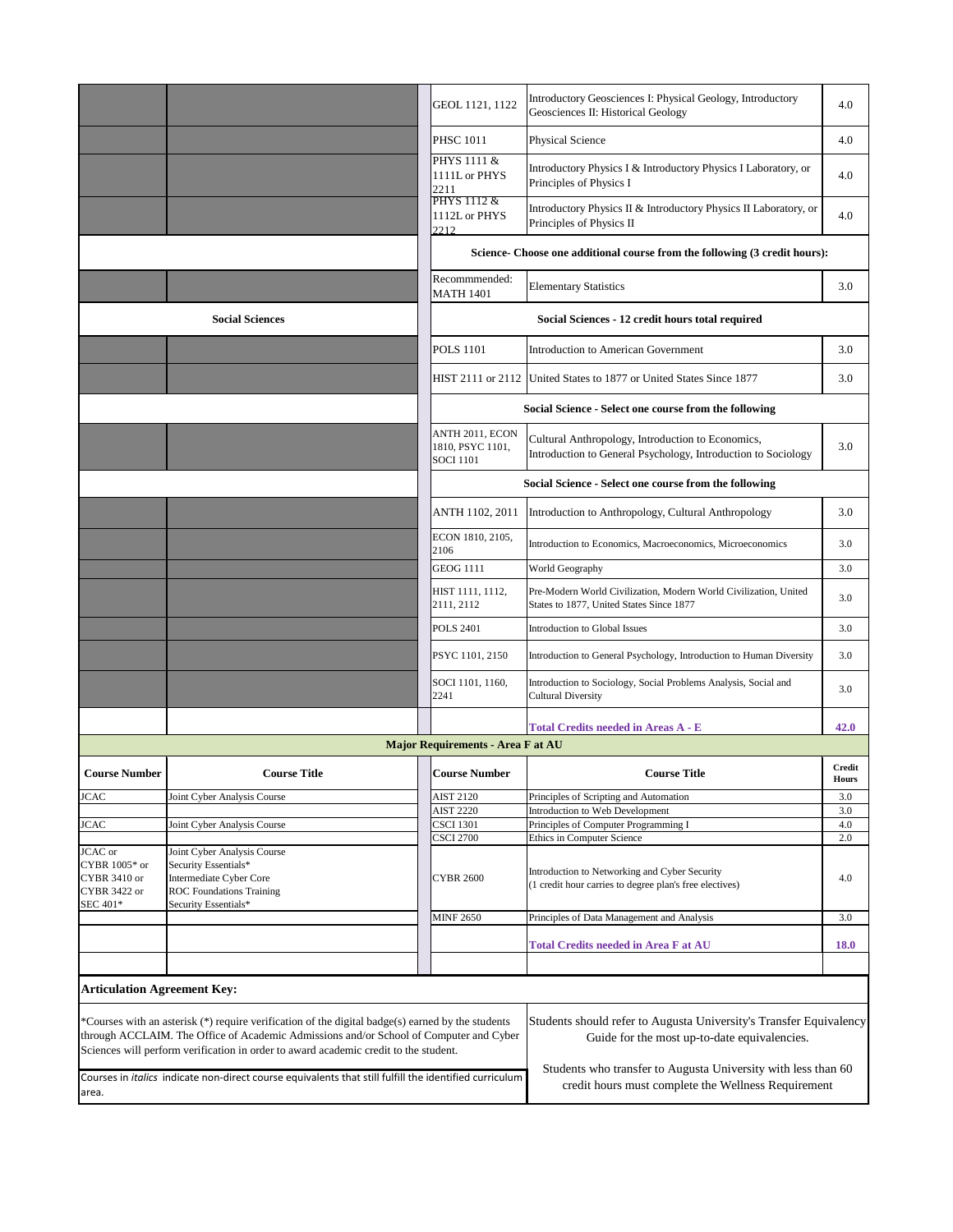|                                                                                                                        |                                                                                                                                                                                                                                                                                       | GEOL 1121, 1122                                         | Introductory Geosciences I: Physical Geology, Introductory<br>Geosciences II: Historical Geology                                                                                    | 4.0                           |  |  |
|------------------------------------------------------------------------------------------------------------------------|---------------------------------------------------------------------------------------------------------------------------------------------------------------------------------------------------------------------------------------------------------------------------------------|---------------------------------------------------------|-------------------------------------------------------------------------------------------------------------------------------------------------------------------------------------|-------------------------------|--|--|
|                                                                                                                        |                                                                                                                                                                                                                                                                                       | <b>PHSC 1011</b>                                        | <b>Physical Science</b>                                                                                                                                                             | 4.0                           |  |  |
|                                                                                                                        |                                                                                                                                                                                                                                                                                       | PHYS 1111 &<br>1111L or PHYS<br>2211                    | Introductory Physics I & Introductory Physics I Laboratory, or<br>Principles of Physics I                                                                                           | 4.0                           |  |  |
|                                                                                                                        |                                                                                                                                                                                                                                                                                       | PHYS 1112 &<br>1112L or PHYS<br>2212                    | Introductory Physics II & Introductory Physics II Laboratory, or<br>Principles of Physics II                                                                                        | 4.0                           |  |  |
|                                                                                                                        |                                                                                                                                                                                                                                                                                       |                                                         | Science- Choose one additional course from the following (3 credit hours):                                                                                                          |                               |  |  |
|                                                                                                                        |                                                                                                                                                                                                                                                                                       | Recommmended:<br><b>MATH 1401</b>                       | <b>Elementary Statistics</b>                                                                                                                                                        | 3.0                           |  |  |
|                                                                                                                        | <b>Social Sciences</b>                                                                                                                                                                                                                                                                |                                                         | Social Sciences - 12 credit hours total required                                                                                                                                    |                               |  |  |
|                                                                                                                        |                                                                                                                                                                                                                                                                                       | <b>POLS 1101</b>                                        | <b>Introduction to American Government</b>                                                                                                                                          | 3.0                           |  |  |
|                                                                                                                        |                                                                                                                                                                                                                                                                                       |                                                         | HIST 2111 or 2112 United States to 1877 or United States Since 1877                                                                                                                 | 3.0                           |  |  |
|                                                                                                                        |                                                                                                                                                                                                                                                                                       |                                                         | Social Science - Select one course from the following                                                                                                                               |                               |  |  |
|                                                                                                                        |                                                                                                                                                                                                                                                                                       | ANTH 2011, ECON<br>1810, PSYC 1101,<br><b>SOCI 1101</b> | Cultural Anthropology, Introduction to Economics,<br>Introduction to General Psychology, Introduction to Sociology                                                                  | 3.0                           |  |  |
|                                                                                                                        |                                                                                                                                                                                                                                                                                       |                                                         | Social Science - Select one course from the following                                                                                                                               |                               |  |  |
|                                                                                                                        |                                                                                                                                                                                                                                                                                       | ANTH 1102, 2011                                         | Introduction to Anthropology, Cultural Anthropology                                                                                                                                 | 3.0                           |  |  |
|                                                                                                                        |                                                                                                                                                                                                                                                                                       | ECON 1810, 2105,<br>2106                                | Introduction to Economics, Macroeconomics, Microeconomics                                                                                                                           | 3.0                           |  |  |
|                                                                                                                        |                                                                                                                                                                                                                                                                                       | <b>GEOG 1111</b>                                        | World Geography                                                                                                                                                                     | 3.0                           |  |  |
|                                                                                                                        |                                                                                                                                                                                                                                                                                       | HIST 1111, 1112,<br>2111, 2112                          | Pre-Modern World Civilization, Modern World Civilization, United<br>States to 1877, United States Since 1877                                                                        | 3.0                           |  |  |
|                                                                                                                        |                                                                                                                                                                                                                                                                                       | <b>POLS 2401</b>                                        | Introduction to Global Issues                                                                                                                                                       | 3.0                           |  |  |
|                                                                                                                        |                                                                                                                                                                                                                                                                                       | PSYC 1101, 2150                                         | Introduction to General Psychology, Introduction to Human Diversity                                                                                                                 | 3.0                           |  |  |
|                                                                                                                        |                                                                                                                                                                                                                                                                                       | SOCI 1101, 1160,<br>2241                                | Introduction to Sociology, Social Problems Analysis, Social and<br><b>Cultural Diversity</b>                                                                                        | 3.0                           |  |  |
|                                                                                                                        |                                                                                                                                                                                                                                                                                       |                                                         | <b>Total Credits needed in Areas A - E</b>                                                                                                                                          | 42.0                          |  |  |
|                                                                                                                        |                                                                                                                                                                                                                                                                                       | <b>Major Requirements - Area F at AU</b>                |                                                                                                                                                                                     |                               |  |  |
| <b>Course Number</b>                                                                                                   | <b>Course Title</b>                                                                                                                                                                                                                                                                   | <b>Course Number</b>                                    | <b>Course Title</b>                                                                                                                                                                 | <b>Credit</b><br><b>Hours</b> |  |  |
| <b>JCAC</b>                                                                                                            | Joint Cyber Analysis Course                                                                                                                                                                                                                                                           | <b>AIST 2120</b>                                        | Principles of Scripting and Automation                                                                                                                                              | 3.0                           |  |  |
|                                                                                                                        |                                                                                                                                                                                                                                                                                       | <b>AIST 2220</b>                                        | Introduction to Web Development                                                                                                                                                     | 3.0                           |  |  |
| <b>JCAC</b>                                                                                                            | Joint Cyber Analysis Course                                                                                                                                                                                                                                                           | <b>CSCI 1301</b>                                        | Principles of Computer Programming I                                                                                                                                                | 4.0                           |  |  |
|                                                                                                                        |                                                                                                                                                                                                                                                                                       | <b>CSCI 2700</b>                                        | Ethics in Computer Science                                                                                                                                                          | 2.0                           |  |  |
| JCAC or                                                                                                                | Joint Cyber Analysis Course                                                                                                                                                                                                                                                           |                                                         |                                                                                                                                                                                     |                               |  |  |
| CYBR 1005* or                                                                                                          | Security Essentials*                                                                                                                                                                                                                                                                  |                                                         | Introduction to Networking and Cyber Security                                                                                                                                       |                               |  |  |
| CYBR 3410 or                                                                                                           | Intermediate Cyber Core                                                                                                                                                                                                                                                               | <b>CYBR 2600</b>                                        | (1 credit hour carries to degree plan's free electives)                                                                                                                             | 4.0                           |  |  |
| CYBR 3422 or                                                                                                           | <b>ROC</b> Foundations Training                                                                                                                                                                                                                                                       |                                                         |                                                                                                                                                                                     |                               |  |  |
| SEC 401*                                                                                                               | Security Essentials*                                                                                                                                                                                                                                                                  |                                                         |                                                                                                                                                                                     |                               |  |  |
|                                                                                                                        |                                                                                                                                                                                                                                                                                       | <b>MINF 2650</b>                                        | Principles of Data Management and Analysis                                                                                                                                          | 3.0                           |  |  |
|                                                                                                                        |                                                                                                                                                                                                                                                                                       |                                                         | <b>Total Credits needed in Area F at AU</b>                                                                                                                                         | <b>18.0</b>                   |  |  |
|                                                                                                                        |                                                                                                                                                                                                                                                                                       |                                                         |                                                                                                                                                                                     |                               |  |  |
| <b>Articulation Agreement Key:</b>                                                                                     |                                                                                                                                                                                                                                                                                       |                                                         |                                                                                                                                                                                     |                               |  |  |
|                                                                                                                        | *Courses with an asterisk $(*)$ require verification of the digital badge(s) earned by the students<br>through ACCLAIM. The Office of Academic Admissions and/or School of Computer and Cyber<br>Sciences will perform verification in order to award academic credit to the student. |                                                         | Students should refer to Augusta University's Transfer Equivalency<br>Guide for the most up-to-date equivalencies.<br>Students who transfer to Augusta University with less than 60 |                               |  |  |
| Courses in <i>italics</i> indicate non-direct course equivalents that still fulfill the identified curriculum<br>area. |                                                                                                                                                                                                                                                                                       |                                                         | credit hours must complete the Wellness Requirement                                                                                                                                 |                               |  |  |
|                                                                                                                        |                                                                                                                                                                                                                                                                                       |                                                         |                                                                                                                                                                                     |                               |  |  |